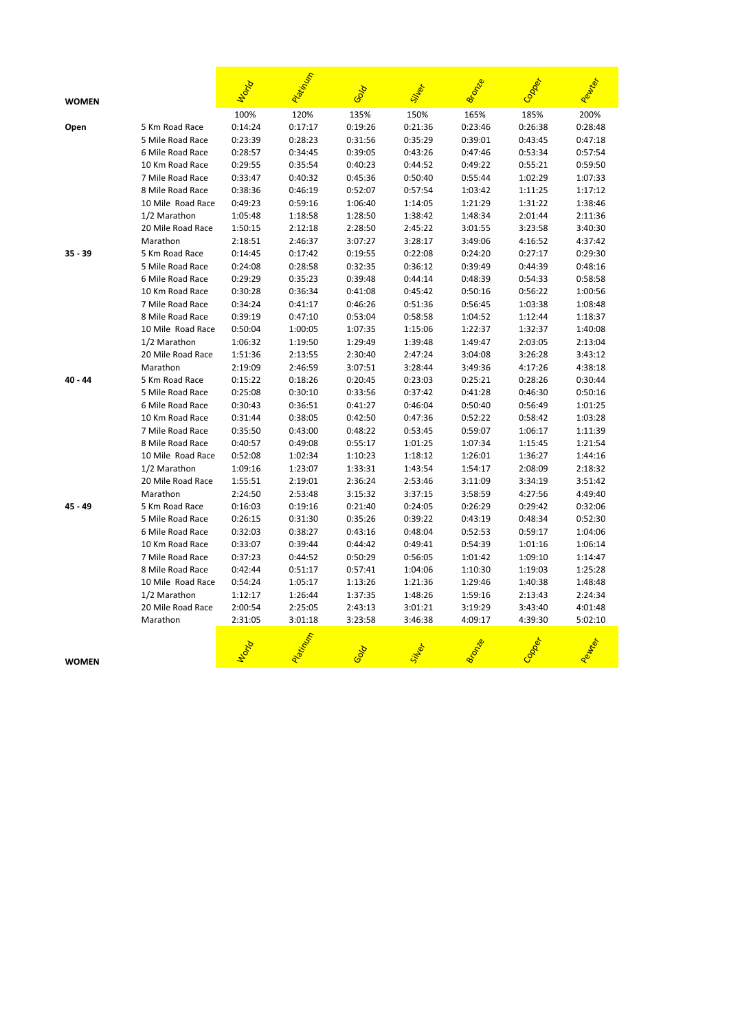| <b>WOMEN</b> |                   | World   | Patinta | Gold    |         | <b>Bronze</b> |         | Peurter |
|--------------|-------------------|---------|---------|---------|---------|---------------|---------|---------|
|              |                   | 100%    | 120%    | 135%    | 150%    | 165%          | 185%    | 200%    |
| Open         | 5 Km Road Race    | 0:14:24 | 0:17:17 | 0:19:26 | 0:21:36 | 0:23:46       | 0:26:38 | 0:28:48 |
|              | 5 Mile Road Race  | 0:23:39 | 0:28:23 | 0:31:56 | 0:35:29 | 0:39:01       | 0:43:45 | 0:47:18 |
|              | 6 Mile Road Race  | 0:28:57 | 0:34:45 | 0:39:05 | 0:43:26 | 0:47:46       | 0:53:34 | 0:57:54 |
|              | 10 Km Road Race   | 0:29:55 | 0:35:54 | 0:40:23 | 0:44:52 | 0:49:22       | 0:55:21 | 0:59:50 |
|              | 7 Mile Road Race  | 0:33:47 | 0:40:32 | 0:45:36 | 0:50:40 | 0:55:44       | 1:02:29 | 1:07:33 |
|              | 8 Mile Road Race  | 0:38:36 | 0:46:19 | 0:52:07 | 0:57:54 | 1:03:42       | 1:11:25 | 1:17:12 |
|              | 10 Mile Road Race | 0:49:23 | 0:59:16 | 1:06:40 | 1:14:05 | 1:21:29       | 1:31:22 | 1:38:46 |
|              | 1/2 Marathon      | 1:05:48 | 1:18:58 | 1:28:50 | 1:38:42 | 1:48:34       | 2:01:44 | 2:11:36 |
|              | 20 Mile Road Race | 1:50:15 | 2:12:18 | 2:28:50 | 2:45:22 | 3:01:55       | 3:23:58 | 3:40:30 |
|              | Marathon          | 2:18:51 | 2:46:37 | 3:07:27 | 3:28:17 | 3:49:06       | 4:16:52 | 4:37:42 |
| 35 - 39      | 5 Km Road Race    | 0:14:45 | 0:17:42 | 0:19:55 | 0:22:08 | 0:24:20       | 0:27:17 | 0:29:30 |
|              | 5 Mile Road Race  | 0:24:08 | 0:28:58 | 0:32:35 | 0:36:12 | 0:39:49       | 0:44:39 | 0:48:16 |
|              | 6 Mile Road Race  | 0:29:29 | 0:35:23 | 0:39:48 | 0:44:14 | 0:48:39       | 0:54:33 | 0:58:58 |
|              | 10 Km Road Race   | 0:30:28 | 0:36:34 | 0:41:08 | 0:45:42 | 0:50:16       | 0:56:22 | 1:00:56 |
|              | 7 Mile Road Race  | 0:34:24 | 0:41:17 | 0:46:26 | 0:51:36 | 0:56:45       | 1:03:38 | 1:08:48 |
|              | 8 Mile Road Race  | 0:39:19 | 0:47:10 | 0:53:04 | 0:58:58 | 1:04:52       | 1:12:44 | 1:18:37 |
|              | 10 Mile Road Race | 0:50:04 | 1:00:05 | 1:07:35 | 1:15:06 | 1:22:37       | 1:32:37 | 1:40:08 |
|              | 1/2 Marathon      | 1:06:32 | 1:19:50 | 1:29:49 | 1:39:48 | 1:49:47       | 2:03:05 | 2:13:04 |
|              | 20 Mile Road Race | 1:51:36 | 2:13:55 | 2:30:40 | 2:47:24 | 3:04:08       | 3:26:28 | 3:43:12 |
|              | Marathon          | 2:19:09 | 2:46:59 | 3:07:51 | 3:28:44 | 3:49:36       | 4:17:26 | 4:38:18 |
| 40 - 44      | 5 Km Road Race    | 0:15:22 | 0:18:26 | 0:20:45 | 0:23:03 | 0:25:21       | 0:28:26 | 0:30:44 |
|              | 5 Mile Road Race  | 0:25:08 | 0:30:10 | 0:33:56 | 0:37:42 | 0:41:28       | 0:46:30 | 0:50:16 |
|              | 6 Mile Road Race  | 0:30:43 | 0:36:51 | 0:41:27 | 0:46:04 | 0:50:40       | 0:56:49 | 1:01:25 |
|              | 10 Km Road Race   | 0:31:44 | 0:38:05 | 0:42:50 | 0:47:36 | 0:52:22       | 0:58:42 | 1:03:28 |
|              | 7 Mile Road Race  | 0:35:50 | 0:43:00 | 0:48:22 | 0:53:45 | 0:59:07       | 1:06:17 | 1:11:39 |
|              | 8 Mile Road Race  | 0:40:57 | 0:49:08 | 0:55:17 | 1:01:25 | 1:07:34       | 1:15:45 | 1:21:54 |
|              | 10 Mile Road Race | 0:52:08 | 1:02:34 | 1:10:23 | 1:18:12 | 1:26:01       | 1:36:27 | 1:44:16 |
|              | 1/2 Marathon      | 1:09:16 | 1:23:07 | 1:33:31 | 1:43:54 | 1:54:17       | 2:08:09 | 2:18:32 |
|              | 20 Mile Road Race | 1:55:51 | 2:19:01 | 2:36:24 | 2:53:46 | 3:11:09       | 3:34:19 | 3:51:42 |
|              | Marathon          | 2:24:50 | 2:53:48 | 3:15:32 | 3:37:15 | 3:58:59       | 4:27:56 | 4:49:40 |
| 45 - 49      | 5 Km Road Race    | 0:16:03 | 0:19:16 | 0:21:40 | 0:24:05 | 0:26:29       | 0:29:42 | 0:32:06 |
|              | 5 Mile Road Race  | 0:26:15 | 0:31:30 | 0:35:26 | 0:39:22 | 0:43:19       | 0:48:34 | 0:52:30 |
|              | 6 Mile Road Race  | 0:32:03 | 0:38:27 | 0:43:16 | 0:48:04 | 0:52:53       | 0:59:17 | 1:04:06 |
|              | 10 Km Road Race   | 0:33:07 | 0:39:44 | 0:44:42 | 0:49:41 | 0:54:39       | 1:01:16 | 1:06:14 |
|              | 7 Mile Road Race  | 0:37:23 | 0:44:52 | 0:50:29 | 0:56:05 | 1:01:42       | 1:09:10 | 1:14:47 |
|              | 8 Mile Road Race  | 0:42:44 | 0:51:17 | 0:57:41 | 1:04:06 | 1:10:30       | 1:19:03 | 1:25:28 |
|              | 10 Mile Road Race | 0:54:24 | 1:05:17 | 1:13:26 | 1:21:36 | 1:29:46       | 1:40:38 | 1:48:48 |
|              | 1/2 Marathon      | 1:12:17 | 1:26:44 | 1:37:35 | 1:48:26 | 1:59:16       | 2:13:43 | 2:24:34 |
|              | 20 Mile Road Race | 2:00:54 | 2:25:05 | 2:43:13 | 3:01:21 | 3:19:29       | 3:43:40 | 4:01:48 |
|              | Marathon          | 2:31:05 | 3:01:18 | 3:23:58 | 3:46:38 | 4:09:17       | 4:39:30 | 5:02:10 |
| <b>WOMEN</b> |                   |         |         | Solo    |         |               |         |         |